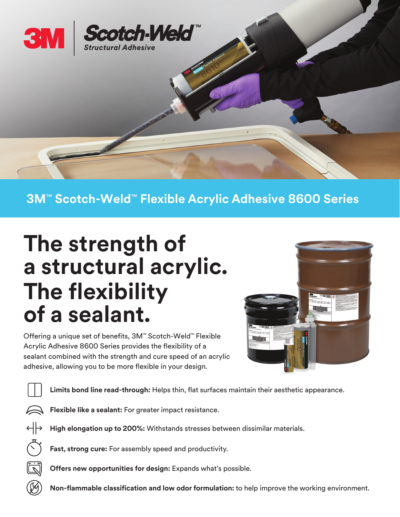

## **3M**™ **Scotch-Weld**™ **Flexible Acrylic Adhesive 8600 Series**

## **The strength of a structural acrylic. The flexibility of a sealant.**

Offering a unique set of benefits, 3M™ Scotch-Weld™ Flexible Acrylic Adhesive 8600 Series provides the flexibility of a sealant combined with the strength and cure speed of an acrylic adhesive, allowing you to be more flexible in your design.



**Limits bond line read-through:** Helps thin, flat surfaces maintain their aesthetic appearance.

**Flexible like a sealant:** For greater impact resistance.

 $\leftrightarrow$ **High elongation up to 200%:** Withstands stresses between dissimilar materials.

**Fast, strong cure:** For assembly speed and productivity.

**Offers new opportunities for design:** Expands what's possible.

**Non-flammable classification and low odor formulation:** to help improve the working environment.